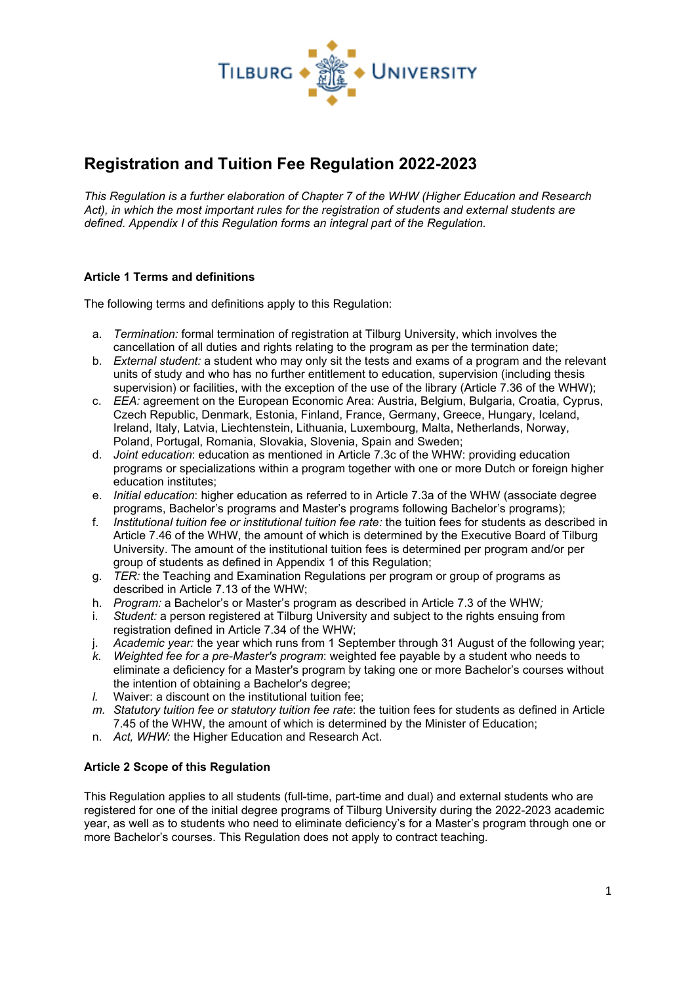

# **Registration and Tuition Fee Regulation 2022-2023**

*This Regulation is a further elaboration of Chapter 7 of the WHW (Higher Education and Research Act), in which the most important rules for the registration of students and external students are defined. Appendix I of this Regulation forms an integral part of the Regulation.*

# **Article 1 Terms and definitions**

The following terms and definitions apply to this Regulation:

- a. *Termination:* formal termination of registration at Tilburg University, which involves the cancellation of all duties and rights relating to the program as per the termination date;
- b. *External student:* a student who may only sit the tests and exams of a program and the relevant units of study and who has no further entitlement to education, supervision (including thesis supervision) or facilities, with the exception of the use of the library (Article 7.36 of the WHW);
- c. *EEA:* agreement on the European Economic Area: Austria, Belgium, Bulgaria, Croatia, Cyprus, Czech Republic, Denmark, Estonia, Finland, France, Germany, Greece, Hungary, Iceland, Ireland, Italy, Latvia, Liechtenstein, Lithuania, Luxembourg, Malta, Netherlands, Norway, Poland, Portugal, Romania, Slovakia, Slovenia, Spain and Sweden;
- d. *Joint education*: education as mentioned in Article 7.3c of the WHW: providing education programs or specializations within a program together with one or more Dutch or foreign higher education institutes;
- e. *Initial education*: higher education as referred to in Article 7.3a of the WHW (associate degree programs, Bachelor's programs and Master's programs following Bachelor's programs);
- f. *Institutional tuition fee or institutional tuition fee rate:* the tuition fees for students as described in Article 7.46 of the WHW, the amount of which is determined by the Executive Board of Tilburg University. The amount of the institutional tuition fees is determined per program and/or per group of students as defined in Appendix 1 of this Regulation;
- g. *TER:* the Teaching and Examination Regulations per program or group of programs as described in Article 7.13 of the WHW;
- h. *Program:* a Bachelor's or Master's program as described in Article 7.3 of the WHW*;*
- Student: a person registered at Tilburg University and subject to the rights ensuing from registration defined in Article 7.34 of the WHW;
- j. *Academic year:* the year which runs from 1 September through 31 August of the following year;
- *k. Weighted fee for a pre-Master's program*: weighted fee payable by a student who needs to eliminate a deficiency for a Master's program by taking one or more Bachelor's courses without the intention of obtaining a Bachelor's degree;
- *l.* Waiver: a discount on the institutional tuition fee;
- *m. Statutory tuition fee or statutory tuition fee rate*: the tuition fees for students as defined in Article 7.45 of the WHW, the amount of which is determined by the Minister of Education;
- n. *Act, WHW:* the Higher Education and Research Act.

# **Article 2 Scope of this Regulation**

This Regulation applies to all students (full-time, part-time and dual) and external students who are registered for one of the initial degree programs of Tilburg University during the 2022-2023 academic year, as well as to students who need to eliminate deficiency's for a Master's program through one or more Bachelor's courses. This Regulation does not apply to contract teaching.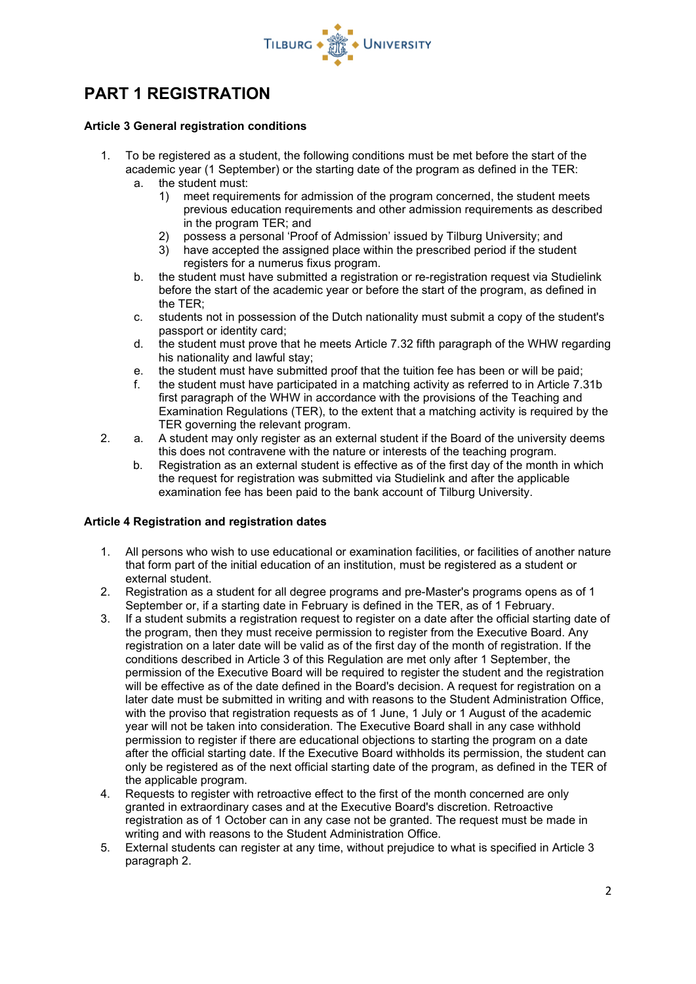

# **PART 1 REGISTRATION**

# **Article 3 General registration conditions**

- 1. To be registered as a student, the following conditions must be met before the start of the academic year (1 September) or the starting date of the program as defined in the TER:
	- a. the student must:
		- 1) meet requirements for admission of the program concerned, the student meets previous education requirements and other admission requirements as described in the program TER; and
		- 2) possess a personal 'Proof of Admission' issued by Tilburg University; and
		- 3) have accepted the assigned place within the prescribed period if the student registers for a numerus fixus program.
	- b. the student must have submitted a registration or re-registration request via Studielink before the start of the academic year or before the start of the program, as defined in the TER;
	- c. students not in possession of the Dutch nationality must submit a copy of the student's passport or identity card;
	- d. the student must prove that he meets Article 7.32 fifth paragraph of the WHW regarding his nationality and lawful stay;
	- e. the student must have submitted proof that the tuition fee has been or will be paid;
	- f. the student must have participated in a matching activity as referred to in Article 7.31b first paragraph of the WHW in accordance with the provisions of the Teaching and Examination Regulations (TER), to the extent that a matching activity is required by the TER governing the relevant program.
- 2. a. A student may only register as an external student if the Board of the university deems this does not contravene with the nature or interests of the teaching program.
	- b. Registration as an external student is effective as of the first day of the month in which the request for registration was submitted via Studielink and after the applicable examination fee has been paid to the bank account of Tilburg University.

# **Article 4 Registration and registration dates**

- 1. All persons who wish to use educational or examination facilities, or facilities of another nature that form part of the initial education of an institution, must be registered as a student or external student.
- 2. Registration as a student for all degree programs and pre-Master's programs opens as of 1 September or, if a starting date in February is defined in the TER, as of 1 February.
- 3. If a student submits a registration request to register on a date after the official starting date of the program, then they must receive permission to register from the Executive Board. Any registration on a later date will be valid as of the first day of the month of registration. If the conditions described in Article 3 of this Regulation are met only after 1 September, the permission of the Executive Board will be required to register the student and the registration will be effective as of the date defined in the Board's decision. A request for registration on a later date must be submitted in writing and with reasons to the Student Administration Office, with the proviso that registration requests as of 1 June, 1 July or 1 August of the academic year will not be taken into consideration. The Executive Board shall in any case withhold permission to register if there are educational objections to starting the program on a date after the official starting date. If the Executive Board withholds its permission, the student can only be registered as of the next official starting date of the program, as defined in the TER of the applicable program.
- 4. Requests to register with retroactive effect to the first of the month concerned are only granted in extraordinary cases and at the Executive Board's discretion. Retroactive registration as of 1 October can in any case not be granted. The request must be made in writing and with reasons to the Student Administration Office.
- 5. External students can register at any time, without prejudice to what is specified in Article 3 paragraph 2.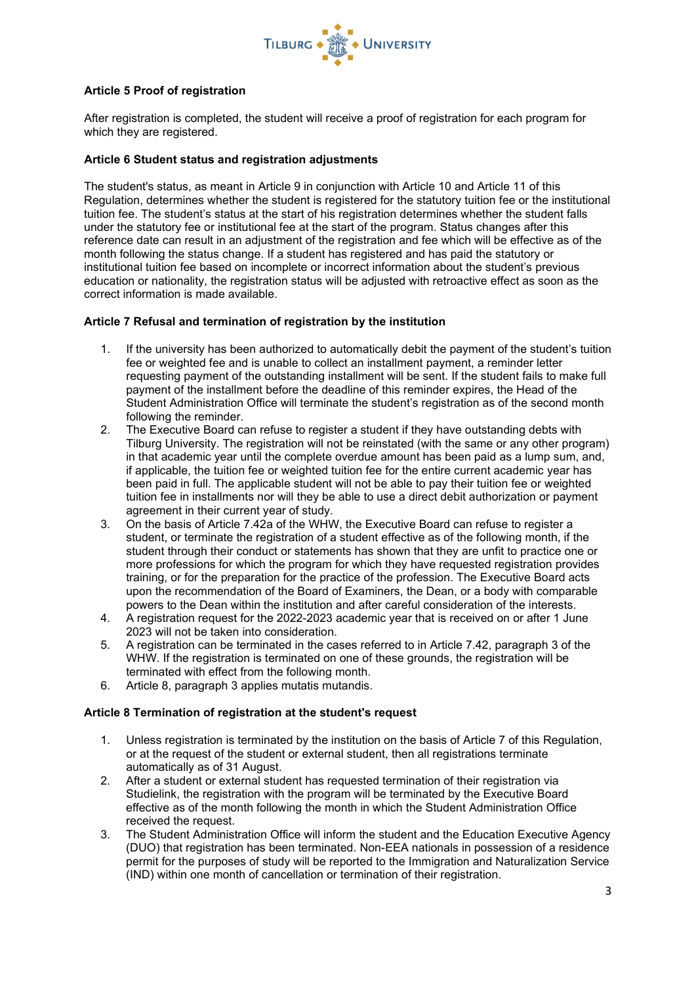

# **Article 5 Proof of registration**

After registration is completed, the student will receive a proof of registration for each program for which they are registered.

# **Article 6 Student status and registration adjustments**

The student's status, as meant in Article 9 in conjunction with Article 10 and Article 11 of this Regulation, determines whether the student is registered for the statutory tuition fee or the institutional tuition fee. The student's status at the start of his registration determines whether the student falls under the statutory fee or institutional fee at the start of the program. Status changes after this reference date can result in an adjustment of the registration and fee which will be effective as of the month following the status change. If a student has registered and has paid the statutory or institutional tuition fee based on incomplete or incorrect information about the student's previous education or nationality, the registration status will be adjusted with retroactive effect as soon as the correct information is made available.

### **Article 7 Refusal and termination of registration by the institution**

- 1. If the university has been authorized to automatically debit the payment of the student's tuition fee or weighted fee and is unable to collect an installment payment, a reminder letter requesting payment of the outstanding installment will be sent. If the student fails to make full payment of the installment before the deadline of this reminder expires, the Head of the Student Administration Office will terminate the student's registration as of the second month following the reminder.
- 2. The Executive Board can refuse to register a student if they have outstanding debts with Tilburg University. The registration will not be reinstated (with the same or any other program) in that academic year until the complete overdue amount has been paid as a lump sum, and, if applicable, the tuition fee or weighted tuition fee for the entire current academic year has been paid in full. The applicable student will not be able to pay their tuition fee or weighted tuition fee in installments nor will they be able to use a direct debit authorization or payment agreement in their current year of study.
- 3. On the basis of Article 7.42a of the WHW, the Executive Board can refuse to register a student, or terminate the registration of a student effective as of the following month, if the student through their conduct or statements has shown that they are unfit to practice one or more professions for which the program for which they have requested registration provides training, or for the preparation for the practice of the profession. The Executive Board acts upon the recommendation of the Board of Examiners, the Dean, or a body with comparable powers to the Dean within the institution and after careful consideration of the interests.
- 4. A registration request for the 2022-2023 academic year that is received on or after 1 June 2023 will not be taken into consideration.
- 5. A registration can be terminated in the cases referred to in Article 7.42, paragraph 3 of the WHW. If the registration is terminated on one of these grounds, the registration will be terminated with effect from the following month.
- 6. Article 8, paragraph 3 applies mutatis mutandis.

#### **Article 8 Termination of registration at the student's request**

- 1. Unless registration is terminated by the institution on the basis of Article 7 of this Regulation, or at the request of the student or external student, then all registrations terminate automatically as of 31 August.
- 2. After a student or external student has requested termination of their registration via Studielink, the registration with the program will be terminated by the Executive Board effective as of the month following the month in which the Student Administration Office received the request.
- 3. The Student Administration Office will inform the student and the Education Executive Agency (DUO) that registration has been terminated. Non-EEA nationals in possession of a residence permit for the purposes of study will be reported to the Immigration and Naturalization Service (IND) within one month of cancellation or termination of their registration.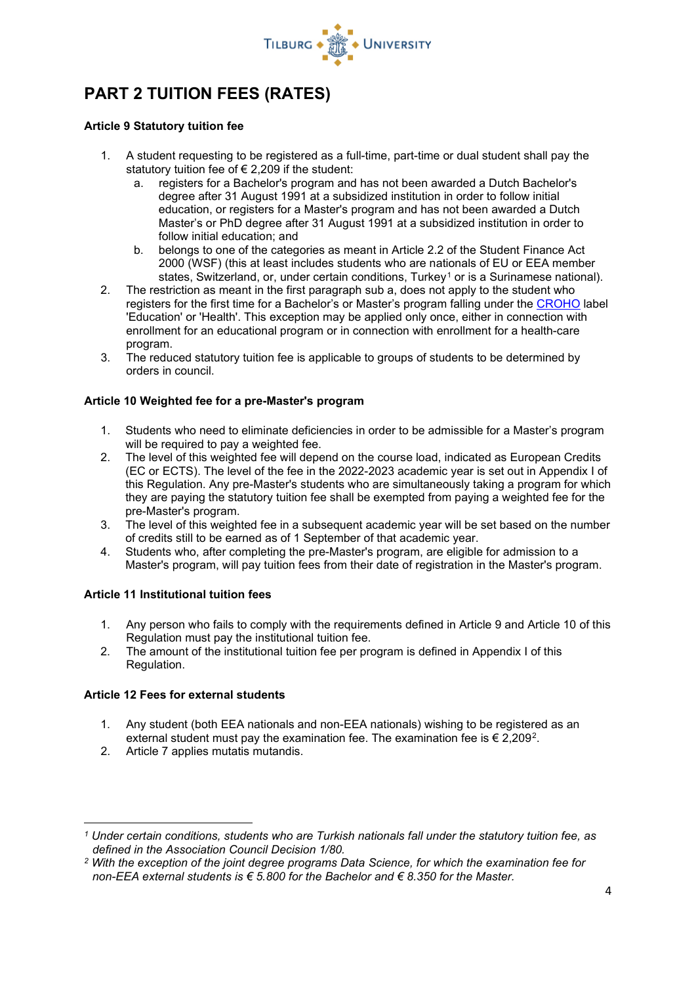

# **PART 2 TUITION FEES (RATES)**

### **Article 9 Statutory tuition fee**

- 1. A student requesting to be registered as a full-time, part-time or dual student shall pay the statutory tuition fee of  $\epsilon$  2,209 if the student:
	- a. registers for a Bachelor's program and has not been awarded a Dutch Bachelor's degree after 31 August 1991 at a subsidized institution in order to follow initial education, or registers for a Master's program and has not been awarded a Dutch Master's or PhD degree after 31 August 1991 at a subsidized institution in order to follow initial education; and
	- b. belongs to one of the categories as meant in Article 2.2 of the Student Finance Act 2000 (WSF) (this at least includes students who are nationals of EU or EEA member states, Switzerland, or, under certain conditions, Turkey<sup>[1](#page-3-0)</sup> or is a Surinamese national).
- 2. The restriction as meant in the first paragraph sub a, does not apply to the student who registers for the first time for a Bachelor's or Master's program falling under the [CROHO](https://apps.duo.nl/MCROHO/pages/zoeken.jsf) label 'Education' or 'Health'. This exception may be applied only once, either in connection with enrollment for an educational program or in connection with enrollment for a health-care program.
- 3. The reduced statutory tuition fee is applicable to groups of students to be determined by orders in council.

# **Article 10 Weighted fee for a pre-Master's program**

- 1. Students who need to eliminate deficiencies in order to be admissible for a Master's program will be required to pay a weighted fee.
- 2. The level of this weighted fee will depend on the course load, indicated as European Credits (EC or ECTS). The level of the fee in the 2022-2023 academic year is set out in Appendix I of this Regulation. Any pre-Master's students who are simultaneously taking a program for which they are paying the statutory tuition fee shall be exempted from paying a weighted fee for the pre-Master's program.
- 3. The level of this weighted fee in a subsequent academic year will be set based on the number of credits still to be earned as of 1 September of that academic year.
- 4. Students who, after completing the pre-Master's program, are eligible for admission to a Master's program, will pay tuition fees from their date of registration in the Master's program.

# **Article 11 Institutional tuition fees**

- 1. Any person who fails to comply with the requirements defined in Article 9 and Article 10 of this Regulation must pay the institutional tuition fee.
- 2. The amount of the institutional tuition fee per program is defined in Appendix I of this Regulation.

# **Article 12 Fees for external students**

- 1. Any student (both EEA nationals and non-EEA nationals) wishing to be registered as an external student must pay the examination fee. The examination fee is  $\epsilon$  [2](#page-3-1),209<sup>2</sup>.
- 2. Article 7 applies mutatis mutandis.

<span id="page-3-0"></span>*<sup>1</sup> Under certain conditions, students who are Turkish nationals fall under the statutory tuition fee, as defined in the Association Council Decision 1/80.*

<span id="page-3-1"></span>*<sup>2</sup> With the exception of the joint degree programs Data Science, for which the examination fee for non-EEA external students is € 5.800 for the Bachelor and € 8.350 for the Master.*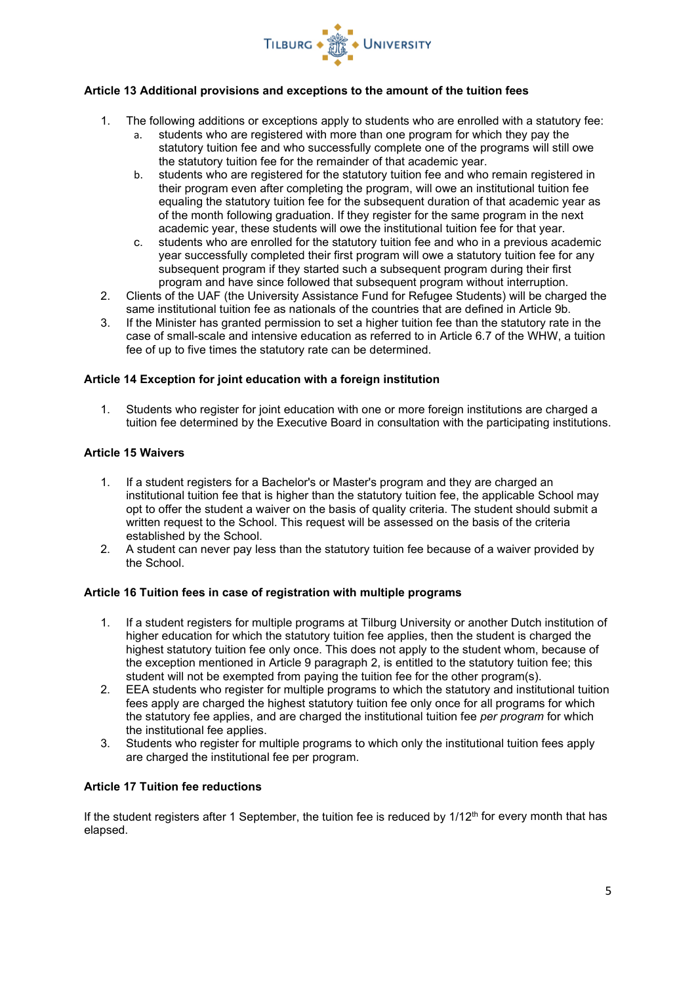

# **Article 13 Additional provisions and exceptions to the amount of the tuition fees**

- 1. The following additions or exceptions apply to students who are enrolled with a statutory fee:
	- a. students who are registered with more than one program for which they pay the statutory tuition fee and who successfully complete one of the programs will still owe the statutory tuition fee for the remainder of that academic year.
	- b. students who are registered for the statutory tuition fee and who remain registered in their program even after completing the program, will owe an institutional tuition fee equaling the statutory tuition fee for the subsequent duration of that academic year as of the month following graduation. If they register for the same program in the next academic year, these students will owe the institutional tuition fee for that year.
	- c. students who are enrolled for the statutory tuition fee and who in a previous academic year successfully completed their first program will owe a statutory tuition fee for any subsequent program if they started such a subsequent program during their first program and have since followed that subsequent program without interruption.
- 2. Clients of the UAF (the University Assistance Fund for Refugee Students) will be charged the same institutional tuition fee as nationals of the countries that are defined in Article 9b.
- 3. If the Minister has granted permission to set a higher tuition fee than the statutory rate in the case of small-scale and intensive education as referred to in Article 6.7 of the WHW, a tuition fee of up to five times the statutory rate can be determined.

# **Article 14 Exception for joint education with a foreign institution**

1. Students who register for joint education with one or more foreign institutions are charged a tuition fee determined by the Executive Board in consultation with the participating institutions.

### **Article 15 Waivers**

- 1. If a student registers for a Bachelor's or Master's program and they are charged an institutional tuition fee that is higher than the statutory tuition fee, the applicable School may opt to offer the student a waiver on the basis of quality criteria. The student should submit a written request to the School. This request will be assessed on the basis of the criteria established by the School.
- 2. A student can never pay less than the statutory tuition fee because of a waiver provided by the School.

# **Article 16 Tuition fees in case of registration with multiple programs**

- 1. If a student registers for multiple programs at Tilburg University or another Dutch institution of higher education for which the statutory tuition fee applies, then the student is charged the highest statutory tuition fee only once. This does not apply to the student whom, because of the exception mentioned in Article 9 paragraph 2, is entitled to the statutory tuition fee; this student will not be exempted from paying the tuition fee for the other program(s).
- 2. EEA students who register for multiple programs to which the statutory and institutional tuition fees apply are charged the highest statutory tuition fee only once for all programs for which the statutory fee applies, and are charged the institutional tuition fee *per program* for which the institutional fee applies.
- 3. Students who register for multiple programs to which only the institutional tuition fees apply are charged the institutional fee per program.

# **Article 17 Tuition fee reductions**

If the student registers after 1 September, the tuition fee is reduced by  $1/12<sup>th</sup>$  for every month that has elapsed.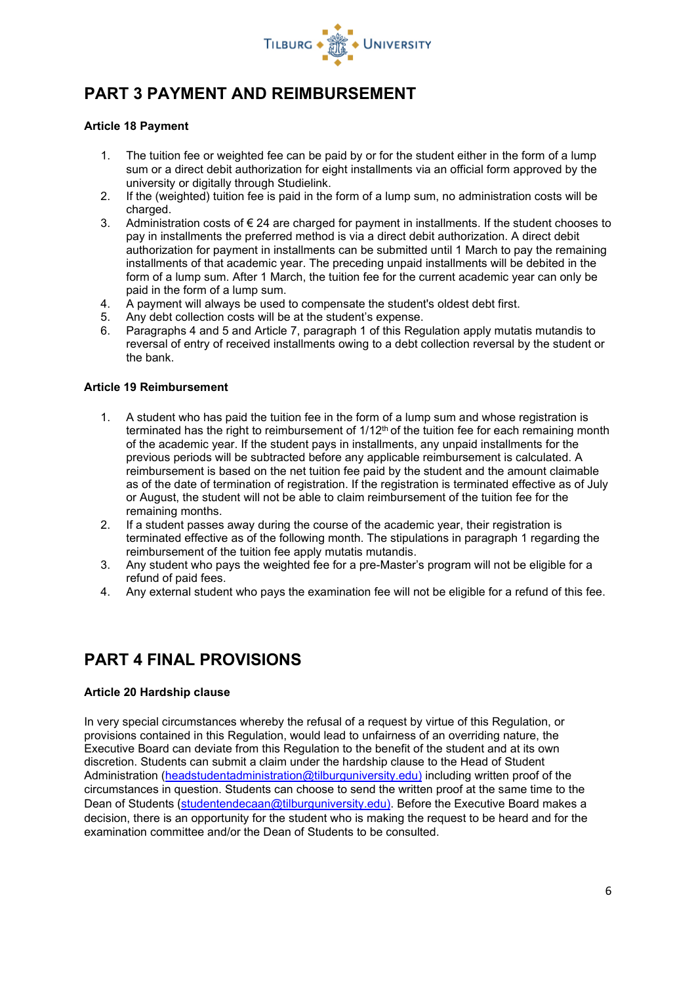

# **PART 3 PAYMENT AND REIMBURSEMENT**

# **Article 18 Payment**

- 1. The tuition fee or weighted fee can be paid by or for the student either in the form of a lump sum or a direct debit authorization for eight installments via an official form approved by the university or digitally through Studielink.
- 2. If the (weighted) tuition fee is paid in the form of a lump sum, no administration costs will be charged.
- 3. Administration costs of € 24 are charged for payment in installments. If the student chooses to pay in installments the preferred method is via a direct debit authorization. A direct debit authorization for payment in installments can be submitted until 1 March to pay the remaining installments of that academic year. The preceding unpaid installments will be debited in the form of a lump sum. After 1 March, the tuition fee for the current academic year can only be paid in the form of a lump sum.
- 4. A payment will always be used to compensate the student's oldest debt first.
- 5. Any debt collection costs will be at the student's expense.
- 6. Paragraphs 4 and 5 and Article 7, paragraph 1 of this Regulation apply mutatis mutandis to reversal of entry of received installments owing to a debt collection reversal by the student or the bank.

### **Article 19 Reimbursement**

- 1. A student who has paid the tuition fee in the form of a lump sum and whose registration is terminated has the right to reimbursement of 1/12<sup>th</sup> of the tuition fee for each remaining month of the academic year. If the student pays in installments, any unpaid installments for the previous periods will be subtracted before any applicable reimbursement is calculated. A reimbursement is based on the net tuition fee paid by the student and the amount claimable as of the date of termination of registration. If the registration is terminated effective as of July or August, the student will not be able to claim reimbursement of the tuition fee for the remaining months.
- 2. If a student passes away during the course of the academic year, their registration is terminated effective as of the following month. The stipulations in paragraph 1 regarding the reimbursement of the tuition fee apply mutatis mutandis.
- 3. Any student who pays the weighted fee for a pre-Master's program will not be eligible for a refund of paid fees.
- 4. Any external student who pays the examination fee will not be eligible for a refund of this fee.

# **PART 4 FINAL PROVISIONS**

# **Article 20 Hardship clause**

In very special circumstances whereby the refusal of a request by virtue of this Regulation, or provisions contained in this Regulation, would lead to unfairness of an overriding nature, the Executive Board can deviate from this Regulation to the benefit of the student and at its own discretion. Students can submit a claim under the hardship clause to the Head of Student Administration [\(headstudentadministration@tilburguniversity.edu\)](mailto:headstudentadministration@tilburguniversity.edu) including written proof of the circumstances in question. Students can choose to send the written proof at the same time to the Dean of Students ([studentendecaan@tilburguniversity.edu\)](mailto:studentendecaan@tilburguniversity.edu). Before the Executive Board makes a decision, there is an opportunity for the student who is making the request to be heard and for the examination committee and/or the Dean of Students to be consulted.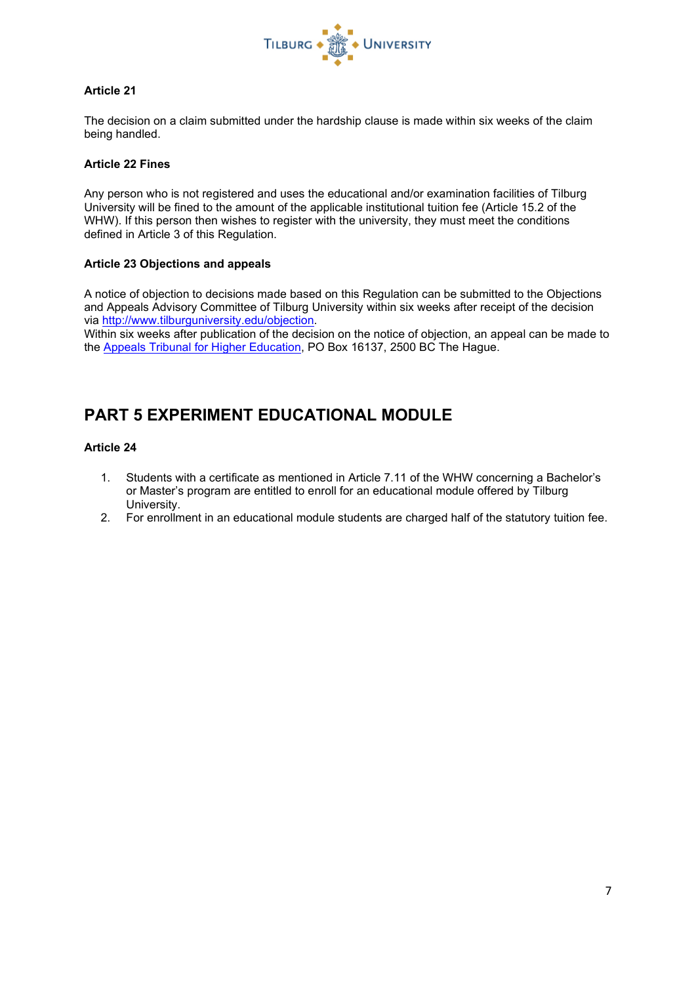

# **Article 21**

The decision on a claim submitted under the hardship clause is made within six weeks of the claim being handled.

### **Article 22 Fines**

Any person who is not registered and uses the educational and/or examination facilities of Tilburg University will be fined to the amount of the applicable institutional tuition fee (Article 15.2 of the WHW). If this person then wishes to register with the university, they must meet the conditions defined in Article 3 of this Regulation.

### **Article 23 Objections and appeals**

A notice of objection to decisions made based on this Regulation can be submitted to the Objections and Appeals Advisory Committee of Tilburg University within six weeks after receipt of the decision via [http://www.tilburguniversity.edu/objection.](http://www.tilburguniversity.edu/objection)

Within six weeks after publication of the decision on the notice of objection, an appeal can be made to the [Appeals Tribunal for Higher Education,](https://www.tilburguniversity.edu/students/studying/regulations/complaint-appeal/athe) PO Box 16137, 2500 BC The Hague.

# **PART 5 EXPERIMENT EDUCATIONAL MODULE**

# **Article 24**

- 1. Students with a certificate as mentioned in Article 7.11 of the WHW concerning a Bachelor's or Master's program are entitled to enroll for an educational module offered by Tilburg University.
- 2. For enrollment in an educational module students are charged half of the statutory tuition fee.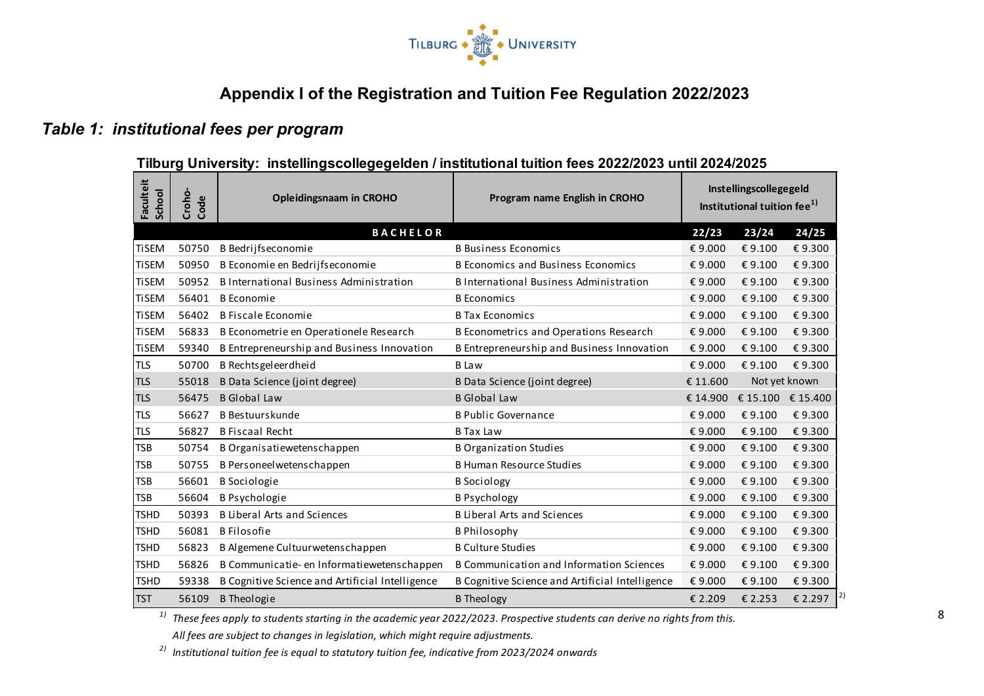

# **Appendix I of the Registration and Tuition Fee Regulation 2022/2023**

# *Table 1: institutional fees per program*

# **Tilburg University: instellingscollegegelden / institutional tuition fees 2022/2023 until 2024/2025**

| Faculteit<br>School | Croho-<br>Code | <b>Opleidingsnaam in CROHO</b>                  | Program name English in CROHO                   |          | Instellingscollegegeld<br>Institutional tuition fee <sup>1)</sup> |               |
|---------------------|----------------|-------------------------------------------------|-------------------------------------------------|----------|-------------------------------------------------------------------|---------------|
|                     |                | <b>BACHELOR</b>                                 |                                                 | 22/23    | 23/24                                                             | 24/25         |
| <b>TiSEM</b>        | 50750          | B Bedrijfseconomie                              | <b>B Business Economics</b>                     | € 9.000  | € 9.100                                                           | €9.300        |
| <b>TiSEM</b>        | 50950          | B Economie en Bedrijfseconomie                  | <b>B Economics and Business Economics</b>       | € 9.000  | € 9.100                                                           | €9.300        |
| <b>TiSEM</b>        | 50952          | B International Business Administration         | B International Business Administration         | € 9.000  | € 9.100                                                           | €9.300        |
| <b>TiSEM</b>        | 56401          | <b>B</b> Economie                               | <b>B</b> Economics                              | € 9.000  | € 9.100                                                           | €9.300        |
| <b>TiSEM</b>        | 56402          | B Fiscale Economie                              | <b>B Tax Economics</b>                          | € 9.000  | € 9.100                                                           | €9.300        |
| <b>TiSEM</b>        | 56833          | B Econometrie en Operationele Research          | B Econometrics and Operations Research          | € 9.000  | € 9.100                                                           | €9.300        |
| <b>TiSEM</b>        | 59340          | B Entrepreneurship and Business Innovation      | B Entrepreneurship and Business Innovation      | € 9.000  | € 9.100                                                           | €9.300        |
| <b>TLS</b>          | 50700          | B Rechtsgeleerdheid                             | <b>B</b> Law                                    | € 9.000  | € 9.100                                                           | €9.300        |
| <b>TLS</b>          | 55018          | B Data Science (joint degree)                   | B Data Science (joint degree)                   | € 11.600 |                                                                   | Not yet known |
| <b>TLS</b>          | 56475          | <b>B</b> Global Law                             | <b>B</b> Global Law                             | € 14.900 | € 15.100 € 15.400                                                 |               |
| <b>TLS</b>          | 56627          | <b>B</b> Bestuurskunde                          | <b>B Public Governance</b>                      | € 9.000  | € 9.100                                                           | €9.300        |
| <b>TLS</b>          | 56827          | <b>B</b> Fiscaal Recht                          | <b>B</b> Tax Law                                | € 9.000  | € 9.100                                                           | €9.300        |
| <b>TSB</b>          | 50754          | B Organisatiewetenschappen                      | <b>B Organization Studies</b>                   | € 9.000  | € 9.100                                                           | €9.300        |
| <b>TSB</b>          | 50755          | B Personeel wetenschappen                       | <b>B Human Resource Studies</b>                 | € 9.000  | € 9.100                                                           | €9.300        |
| <b>TSB</b>          | 56601          | <b>B</b> Sociologie                             | <b>B</b> Sociology                              | € 9.000  | € 9.100                                                           | €9.300        |
| <b>TSB</b>          | 56604          | <b>B Psychologie</b>                            | <b>B Psychology</b>                             | € 9.000  | € 9.100                                                           | €9.300        |
| <b>TSHD</b>         | 50393          | <b>B Liberal Arts and Sciences</b>              | <b>B Liberal Arts and Sciences</b>              | € 9.000  | € 9.100                                                           | €9.300        |
| <b>TSHD</b>         | 56081          | <b>B</b> Filosofie                              | <b>B Philosophy</b>                             | € 9.000  | € 9.100                                                           | €9.300        |
| <b>TSHD</b>         | 56823          | B Algemene Cultuurwetenschappen                 | <b>B Culture Studies</b>                        | € 9.000  | €9.100                                                            | €9.300        |
| <b>TSHD</b>         | 56826          | B Communicatie- en Informatiewetenschappen      | <b>B Communication and Information Sciences</b> | € 9.000  | € 9.100                                                           | €9.300        |
| <b>TSHD</b>         | 59338          | B Cognitive Science and Artificial Intelligence | B Cognitive Science and Artificial Intelligence | €9.000   | € 9.100                                                           | €9.300        |
| <b>TST</b>          | 56109          | <b>B</b> Theologie                              | <b>B</b> Theology                               | € 2.209  | € 2.253                                                           | 2 <br>€ 2.297 |

*1) These fees apply to students starting in the academic year 2022/2023. Prospective students can derive no rights from this. All fees are subject to changes in legislation, which might require adjustments.*

*2) Institutional tuition fee is equal to statutory tuition fee, indicative from 2023/2024 onwards*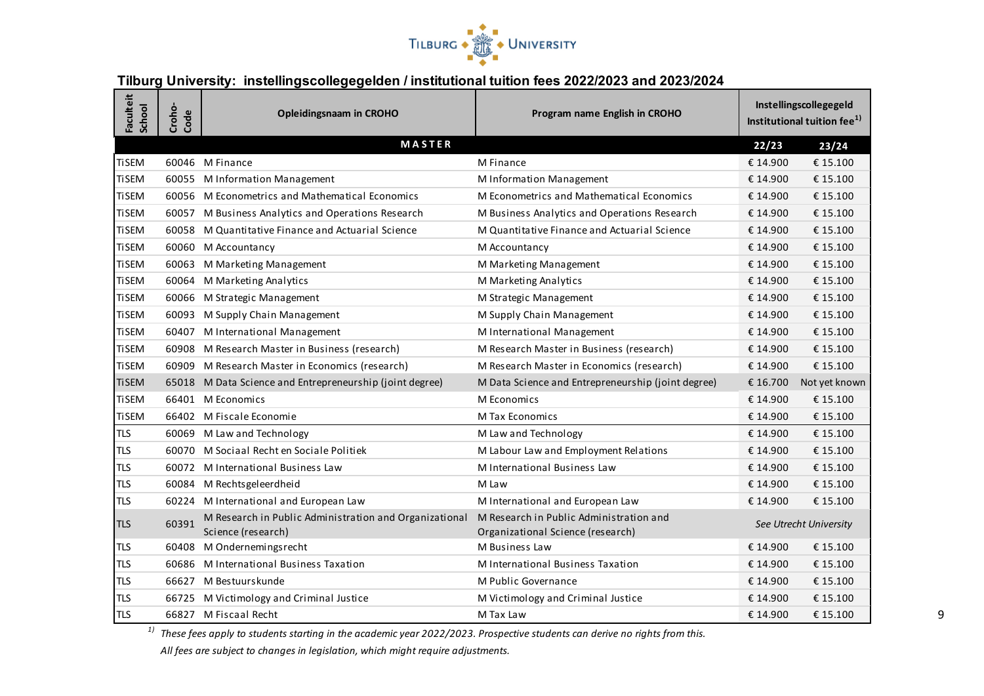

# **Tilburg University: instellingscollegegelden / institutional tuition fees 2022/2023 and 2023/2024**

| Faculteit<br>School | Croho-<br>Code | <b>Opleidingsnaam in CROHO</b>                                               | Program name English in CROHO                                                |          | Instellingscollegegeld<br>Institutional tuition fee <sup>1)</sup> |
|---------------------|----------------|------------------------------------------------------------------------------|------------------------------------------------------------------------------|----------|-------------------------------------------------------------------|
|                     |                | MASTER                                                                       |                                                                              | 22/23    | 23/24                                                             |
| <b>TiSEM</b>        |                | 60046 M Finance                                                              | M Finance                                                                    | € 14.900 | € 15.100                                                          |
| <b>TiSEM</b>        |                | 60055 M Information Management                                               | M Information Management                                                     | € 14.900 | € 15.100                                                          |
| <b>TiSEM</b>        |                | 60056 M Econometrics and Mathematical Economics                              | M Econometrics and Mathematical Economics                                    | € 14.900 | € 15.100                                                          |
| <b>TiSEM</b>        |                | 60057 M Business Analytics and Operations Research                           | M Business Analytics and Operations Research                                 | € 14.900 | € 15.100                                                          |
| <b>TiSEM</b>        | 60058          | M Quantitative Finance and Actuarial Science                                 | M Quantitative Finance and Actuarial Science                                 | € 14.900 | € 15.100                                                          |
| <b>TiSEM</b>        |                | 60060 M Accountancy                                                          | M Accountancy                                                                | € 14.900 | € 15.100                                                          |
| <b>TiSEM</b>        |                | 60063 M Marketing Management                                                 | M Marketing Management                                                       | € 14.900 | € 15.100                                                          |
| <b>TiSEM</b>        |                | 60064 M Marketing Analytics                                                  | M Marketing Analytics                                                        | € 14.900 | € 15.100                                                          |
| <b>TiSEM</b>        |                | 60066 M Strategic Management                                                 | M Strategic Management                                                       | € 14.900 | € 15.100                                                          |
| <b>TiSEM</b>        |                | 60093 M Supply Chain Management                                              | M Supply Chain Management                                                    | € 14.900 | € 15.100                                                          |
| <b>TiSEM</b>        |                | 60407 M International Management                                             | M International Management                                                   | € 14.900 | € 15.100                                                          |
| <b>TiSEM</b>        |                | 60908 M Research Master in Business (research)                               | M Research Master in Business (research)                                     | € 14.900 | € 15.100                                                          |
| <b>TiSEM</b>        |                | 60909 M Research Master in Economics (research)                              | M Research Master in Economics (research)                                    | € 14.900 | € 15.100                                                          |
| <b>TiSEM</b>        |                | 65018 M Data Science and Entrepreneurship (joint degree)                     | M Data Science and Entrepreneurship (joint degree)                           | € 16.700 | Not yet known                                                     |
| <b>TiSEM</b>        |                | 66401 M Economics                                                            | M Economics                                                                  | € 14.900 | € 15.100                                                          |
| <b>TiSEM</b>        |                | 66402 M Fiscale Economie                                                     | <b>M Tax Economics</b>                                                       | € 14.900 | € 15.100                                                          |
| <b>TLS</b>          |                | 60069 M Law and Technology                                                   | M Law and Technology                                                         | € 14.900 | € 15.100                                                          |
| <b>TLS</b>          |                | 60070 M Sociaal Recht en Sociale Politiek                                    | M Labour Law and Employment Relations                                        | € 14.900 | € 15.100                                                          |
| <b>TLS</b>          |                | 60072 M International Business Law                                           | M International Business Law                                                 | € 14.900 | € 15.100                                                          |
| <b>TLS</b>          |                | 60084 M Rechtsgeleerdheid                                                    | M Law                                                                        | € 14.900 | € 15.100                                                          |
| <b>TLS</b>          |                | 60224 M International and European Law                                       | M International and European Law                                             | € 14.900 | € 15.100                                                          |
| <b>TLS</b>          | 60391          | M Research in Public Administration and Organizational<br>Science (research) | M Research in Public Administration and<br>Organizational Science (research) |          | See Utrecht University                                            |
| <b>TLS</b>          |                | 60408 M Ondernemingsrecht                                                    | M Business Law                                                               | € 14.900 | € 15.100                                                          |
| <b>TLS</b>          |                | 60686 M International Business Taxation                                      | M International Business Taxation                                            | € 14.900 | € 15.100                                                          |
| <b>TLS</b>          | 66627          | M Bestuurskunde                                                              | M Public Governance                                                          | € 14.900 | € 15.100                                                          |
| TLS                 |                | 66725 M Victimology and Criminal Justice                                     | M Victimology and Criminal Justice                                           | € 14.900 | € 15.100                                                          |
| <b>TLS</b>          |                | 66827 M Fiscaal Recht                                                        | M Tax Law                                                                    | € 14.900 | € 15.100                                                          |

*1) These fees apply to students starting in the academic year 2022/2023. Prospective students can derive no rights from this.* 

*All fees are subject to changes in legislation, which might require adjustments.*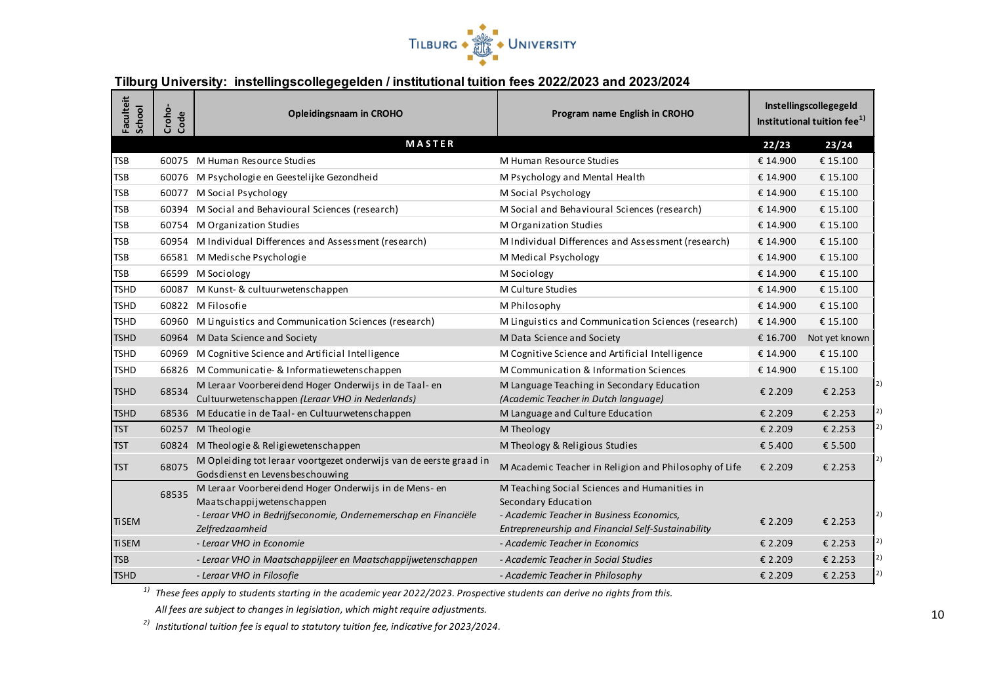

# **Tilburg University: instellingscollegegelden / institutional tuition fees 2022/2023 and 2023/2024**

| Faculteit<br>School | Croho-<br>Code | <b>Opleidingsnaam in CROHO</b>                                                                           | Program name English in CROHO                                                      |          | Instellingscollegegeld<br>Institutional tuition fee <sup>1)</sup> |
|---------------------|----------------|----------------------------------------------------------------------------------------------------------|------------------------------------------------------------------------------------|----------|-------------------------------------------------------------------|
|                     |                | <b>MASTER</b>                                                                                            |                                                                                    | 22/23    | 23/24                                                             |
| <b>TSB</b>          |                | 60075 M Human Resource Studies                                                                           | M Human Resource Studies                                                           | € 14.900 | € 15.100                                                          |
| <b>TSB</b>          |                | 60076 M Psychologie en Geestelijke Gezondheid                                                            | M Psychology and Mental Health                                                     | € 14.900 | € 15.100                                                          |
| TSB                 | 60077          | M Social Psychology                                                                                      | M Social Psychology                                                                | € 14.900 | € 15.100                                                          |
| TSB                 |                | 60394 M Social and Behavioural Sciences (research)                                                       | M Social and Behavioural Sciences (research)                                       | € 14.900 | € 15.100                                                          |
| TSB                 | 60754          | M Organization Studies                                                                                   | M Organization Studies                                                             | € 14.900 | € 15.100                                                          |
| <b>TSB</b>          |                | 60954 M Individual Differences and Assessment (research)                                                 | M Individual Differences and Assessment (research)                                 | € 14.900 | € 15.100                                                          |
| TSB                 |                | 66581 M Medische Psychologie                                                                             | M Medical Psychology                                                               | € 14.900 | € 15.100                                                          |
| TSB                 |                | 66599 M Sociology                                                                                        | M Sociology                                                                        | € 14.900 | € 15.100                                                          |
| <b>TSHD</b>         | 60087          | M Kunst- & cultuurwetenschappen                                                                          | M Culture Studies                                                                  | € 14.900 | € 15.100                                                          |
| <b>TSHD</b>         |                | 60822 M Filosofie                                                                                        | M Philosophy                                                                       | € 14.900 | € 15.100                                                          |
| <b>TSHD</b>         |                | 60960 M Linguistics and Communication Sciences (research)                                                | M Linguistics and Communication Sciences (research)                                | € 14.900 | € 15.100                                                          |
| <b>TSHD</b>         |                | 60964 M Data Science and Society                                                                         | M Data Science and Society                                                         | € 16.700 | Not yet known                                                     |
| <b>TSHD</b>         | 60969          | M Cognitive Science and Artificial Intelligence                                                          | M Cognitive Science and Artificial Intelligence                                    | € 14.900 | € 15.100                                                          |
| <b>TSHD</b>         |                | 66826 M Communicatie- & Informatiewetenschappen                                                          | M Communication & Information Sciences                                             | € 14.900 | € 15.100                                                          |
| <b>TSHD</b>         | 68534          | M Leraar Voorbereidend Hoger Onderwijs in de Taal- en<br>Cultuurwetenschappen (Leraar VHO in Nederlands) | M Language Teaching in Secondary Education<br>(Academic Teacher in Dutch language) | € 2.209  | € 2.253                                                           |
| <b>TSHD</b>         |                | 68536 M Educatie in de Taal- en Cultuurwetenschappen                                                     | M Language and Culture Education                                                   | € 2.209  | € 2.253                                                           |
| <b>TST</b>          |                | 60257 M Theologie                                                                                        | M Theology                                                                         | € 2.209  | € 2.253                                                           |
| <b>TST</b>          | 60824          | M Theologie & Religiewetenschappen                                                                       | M Theology & Religious Studies                                                     | € 5.400  | € 5.500                                                           |
| <b>TST</b>          | 68075          | M Opleiding tot leraar voortgezet onderwijs van de eerste graad in<br>Godsdienst en Levensbeschouwing    | M Academic Teacher in Religion and Philosophy of Life                              | € 2.209  | € 2.253                                                           |
|                     | 68535          | M Leraar Voorbereidend Hoger Onderwijs in de Mens- en                                                    | M Teaching Social Sciences and Humanities in                                       |          |                                                                   |
|                     |                | Maatschappijwetenschappen                                                                                | Secondary Education                                                                |          |                                                                   |
| <b>TiSEM</b>        |                | - Leraar VHO in Bedrijfseconomie, Ondernemerschap en Financiële                                          | - Academic Teacher in Business Economics,                                          | € 2.209  | € 2.253                                                           |
|                     |                | Zelfredzaamheid                                                                                          | Entrepreneurship and Financial Self-Sustainability                                 |          | 2)                                                                |
| <b>TiSEM</b>        |                | - Leraar VHO in Economie                                                                                 | - Academic Teacher in Economics                                                    | € 2.209  | € 2.253                                                           |
| <b>TSB</b>          |                | - Leraar VHO in Maatschappijleer en Maatschappijwetenschappen                                            | - Academic Teacher in Social Studies                                               | € 2.209  | € 2.253                                                           |
| <b>TSHD</b>         |                | - Leraar VHO in Filosofie                                                                                | - Academic Teacher in Philosophy                                                   | € 2.209  | € 2.253                                                           |

*1) These fees apply to students starting in the academic year 2022/2023. Prospective students can derive no rights from this.* 

*All fees are subject to changes in legislation, which might require adjustments.*

*2) Institutional tuition fee is equal to statutory tuition fee, indicative for 2023/2024.*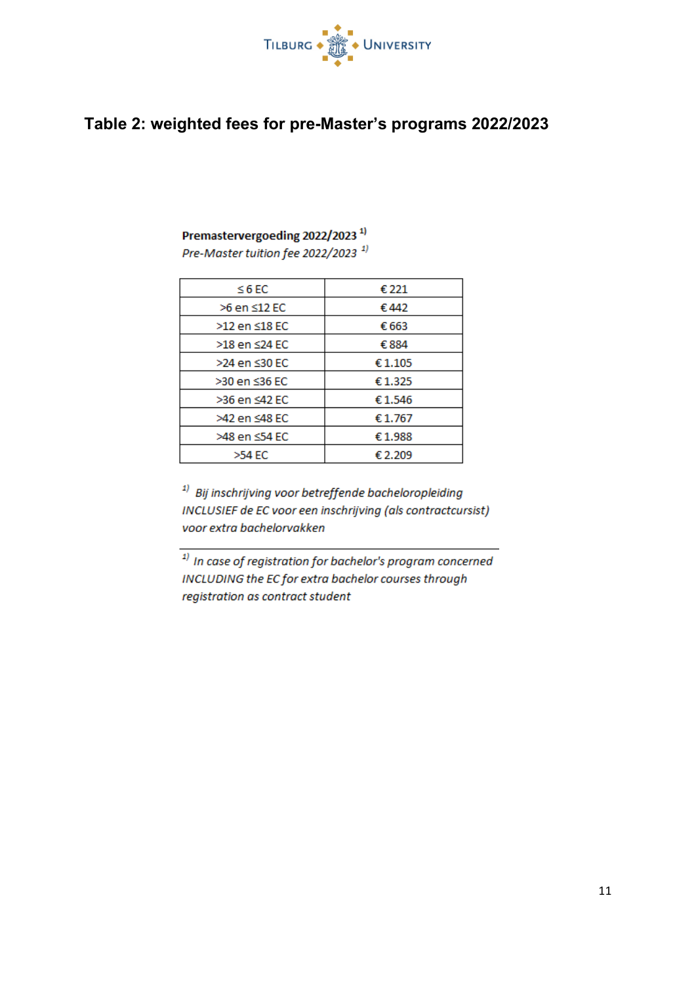

# **Table 2: weighted fees for pre-Master's programs 2022/2023**

# Premastervergoeding 2022/2023<sup>1)</sup>

Pre-Master tuition fee 2022/2023<sup>1)</sup>

| $\leq 6$ EC   | € 221   |
|---------------|---------|
| >6 en ≤12 EC  | €442    |
| >12 en ≤18 EC | € 663   |
| >18 en ≤24 EC | €884    |
| >24 en ≤30 EC | € 1.105 |
| >30 en ≤36 EC | €1.325  |
| >36 en <42 EC | €1.546  |
| >42 en ≤48 EC | €1.767  |
| >48 en ≤54 EC | €1.988  |
| $>54$ EC      | €2.209  |

<sup>1)</sup> Bij inschrijving voor betreffende bacheloropleiding INCLUSIEF de EC voor een inschrijving (als contractcursist) voor extra bachelorvakken

 $1$  In case of registration for bachelor's program concerned INCLUDING the EC for extra bachelor courses through registration as contract student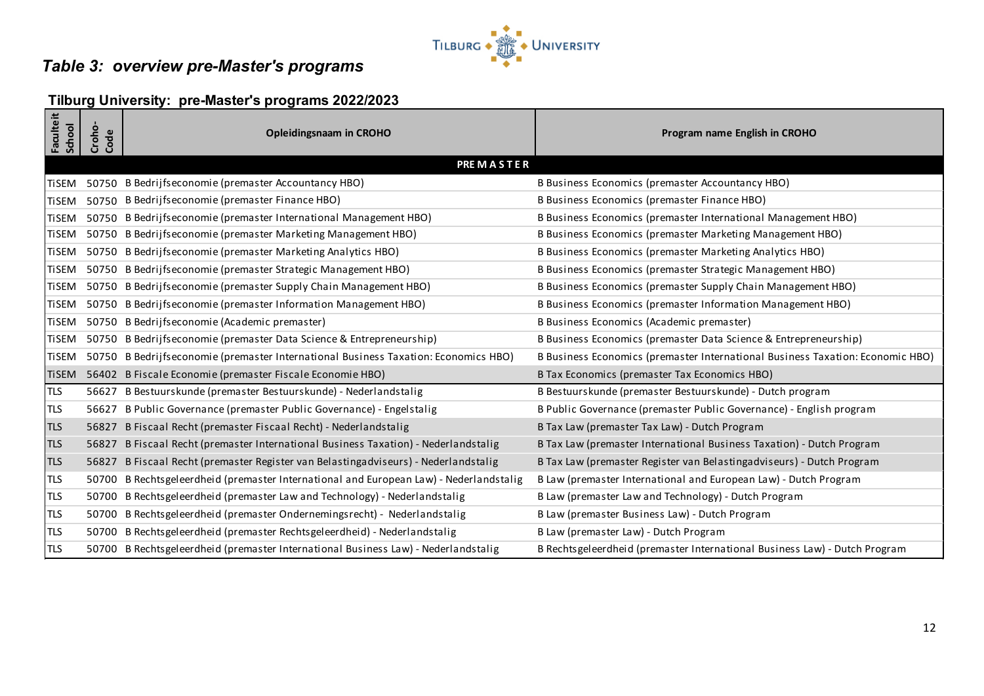

# *Table 3: overview pre-Master's programs*

# **Tilburg University: pre-Master's programs 2022/2023**

| <b>Faculteit</b><br>School | Croho-<br>Code | <b>Opleidingsnaam in CROHO</b>                                                      | Program name English in CROHO                                                  |
|----------------------------|----------------|-------------------------------------------------------------------------------------|--------------------------------------------------------------------------------|
|                            |                | <b>PREMASTER</b>                                                                    |                                                                                |
| <b>TiSEM</b>               |                | 50750 B Bedrijfseconomie (premaster Accountancy HBO)                                | B Business Economics (premaster Accountancy HBO)                               |
| <b>TiSEM</b>               |                | 50750 B Bedrijfseconomie (premaster Finance HBO)                                    | B Business Economics (premaster Finance HBO)                                   |
| <b>TiSEM</b>               | 50750          | B Bedrijfseconomie (premaster International Management HBO)                         | B Business Economics (premaster International Management HBO)                  |
| <b>TiSEM</b>               |                | 50750 B Bedrijfseconomie (premaster Marketing Management HBO)                       | B Business Economics (premaster Marketing Management HBO)                      |
| <b>TiSEM</b>               |                | 50750 B Bedrijfseconomie (premaster Marketing Analytics HBO)                        | B Business Economics (premaster Marketing Analytics HBO)                       |
| <b>TiSEM</b>               |                | 50750 B Bedrijfseconomie (premaster Strategic Management HBO)                       | B Business Economics (premaster Strategic Management HBO)                      |
| <b>TiSEM</b>               |                | 50750 B Bedrijfseconomie (premaster Supply Chain Management HBO)                    | B Business Economics (premaster Supply Chain Management HBO)                   |
| <b>TiSEM</b>               |                | 50750 B Bedrijfseconomie (premaster Information Management HBO)                     | B Business Economics (premaster Information Management HBO)                    |
| <b>TiSEM</b>               |                | 50750 B Bedrijfseconomie (Academic premaster)                                       | B Business Economics (Academic premaster)                                      |
| <b>TiSEM</b>               |                | 50750 B Bedrijfseconomie (premaster Data Science & Entrepreneurship)                | B Business Economics (premaster Data Science & Entrepreneurship)               |
| <b>TiSEM</b>               |                | 50750 B Bedrijfseconomie (premaster International Business Taxation: Economics HBO) | B Business Economics (premaster International Business Taxation: Economic HBO) |
| lTiSEM.                    |                | 56402 B Fiscale Economie (premaster Fiscale Economie HBO)                           | B Tax Economics (premaster Tax Economics HBO)                                  |
| <b>TLS</b>                 |                | 56627 B Bestuurskunde (premaster Bestuurskunde) - Nederlandstalig                   | B Bestuurskunde (premaster Bestuurskunde) - Dutch program                      |
| TLS                        | 56627          | B Public Governance (premaster Public Governance) - Engelstalig                     | B Public Governance (premaster Public Governance) - English program            |
| <b>TLS</b>                 | 56827          | B Fiscaal Recht (premaster Fiscaal Recht) - Nederlandstalig                         | B Tax Law (premaster Tax Law) - Dutch Program                                  |
| <b>TLS</b>                 | 56827          | B Fiscaal Recht (premaster International Business Taxation) - Nederlandstalig       | B Tax Law (premaster International Business Taxation) - Dutch Program          |
| <b>TLS</b>                 | 56827          | B Fiscaal Recht (premaster Register van Belastingadviseurs) - Nederlandstalig       | B Tax Law (premaster Register van Belastingadviseurs) - Dutch Program          |
| <b>TLS</b>                 | 50700          | B Rechtsgeleerdheid (premaster International and European Law) - Nederlandstalig    | B Law (premaster International and European Law) - Dutch Program               |
| <b>TLS</b>                 | 50700          | B Rechtsgeleerdheid (premaster Law and Technology) - Nederlandstalig                | B Law (premaster Law and Technology) - Dutch Program                           |
| <b>TLS</b>                 |                | 50700 B Rechtsgeleerdheid (premaster Ondernemingsrecht) - Nederlandstalig           | B Law (premaster Business Law) - Dutch Program                                 |
| <b>TLS</b>                 |                | 50700 B Rechtsgeleerdheid (premaster Rechtsgeleerdheid) - Nederlandstalig           | B Law (premaster Law) - Dutch Program                                          |
| TLS                        |                | 50700 B Rechtsgeleerdheid (premaster International Business Law) - Nederlandstalig  | B Rechtsgeleerdheid (premaster International Business Law) - Dutch Program     |